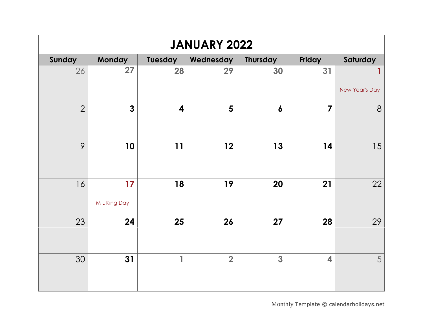| <b>JANUARY 2022</b> |                    |         |                |                  |                         |                     |  |  |
|---------------------|--------------------|---------|----------------|------------------|-------------------------|---------------------|--|--|
| Sunday              | Monday             | Tuesday | Wednesday      | <b>Thursday</b>  | Friday                  | Saturday            |  |  |
| 26                  | 27                 | 28      | 29             | 30               | 31                      | 1<br>New Year's Day |  |  |
| $\overline{2}$      | $\mathbf{3}$       | 4       | 5              | $\boldsymbol{6}$ | $\overline{7}$          | $8\phantom{1}$      |  |  |
| 9                   | 10                 | 11      | 12             | 13               | 14                      | 15                  |  |  |
| 16                  | 17<br>M L King Day | 18      | 19             | 20               | 21                      | 22                  |  |  |
| 23                  | 24                 | 25      | 26             | 27               | 28                      | 29                  |  |  |
| 30                  | 31                 | 1       | $\overline{2}$ | 3                | $\overline{\mathbf{4}}$ | 5                   |  |  |

Monthly [Template](https://www.calendarlabs.com/2019-calendar-templates) © calendarholidays.net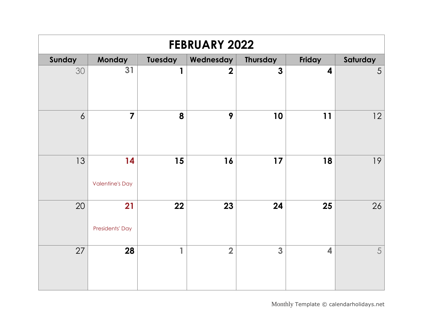| <b>FEBRUARY 2022</b> |                              |                |                |                         |                         |          |  |  |
|----------------------|------------------------------|----------------|----------------|-------------------------|-------------------------|----------|--|--|
| Sunday               | Monday                       | <b>Tuesday</b> | Wednesday      | <b>Thursday</b>         | Friday                  | Saturday |  |  |
| 30                   | $\overline{31}$              | $\mathbf{1}$   | $\overline{2}$ | $\overline{\mathbf{3}}$ | $\overline{\mathbf{4}}$ | 5        |  |  |
| $\overline{6}$       | $\overline{7}$               | 8              | 9              | 10                      | 11                      | 12       |  |  |
| 13                   | 14<br><b>Valentine's Day</b> | 15             | 16             | 17                      | 18                      | 19       |  |  |
| 20                   | 21<br>Presidents' Day        | 22             | 23             | 24                      | 25                      | 26       |  |  |
| 27                   | 28                           | 1              | $\overline{2}$ | 3                       | $\overline{\mathbf{4}}$ | 5        |  |  |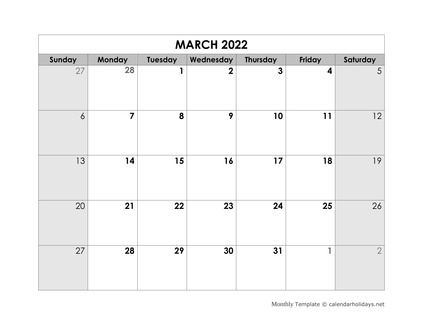| <b>MARCH 2022</b> |                |         |                |              |                         |                |  |  |
|-------------------|----------------|---------|----------------|--------------|-------------------------|----------------|--|--|
| Sunday            | <b>Monday</b>  | Tuesday | Wednesday      | Thursday     | Friday                  | Saturday       |  |  |
| 27                | 28             | 1       | $\overline{2}$ | $\mathbf{3}$ | $\overline{\mathbf{4}}$ | 5              |  |  |
| $\overline{6}$    | $\overline{7}$ | 8       | 9              | 10           | 11                      | 12             |  |  |
| 13                | 14             | 15      | 16             | 17           | 18                      | 19             |  |  |
| 20                | 21             | 22      | 23             | 24           | 25                      | 26             |  |  |
| 27                | 28             | 29      | 30             | 31           | 1                       | $\overline{2}$ |  |  |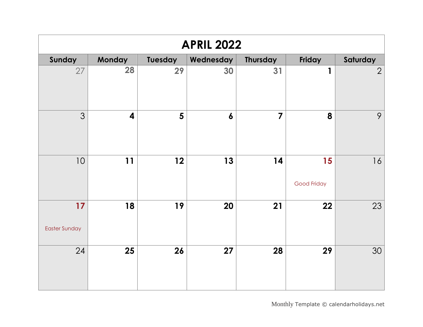| <b>APRIL 2022</b>          |                         |                |                  |                 |                   |                |  |  |
|----------------------------|-------------------------|----------------|------------------|-----------------|-------------------|----------------|--|--|
| Sunday                     | <b>Monday</b>           | Tuesday        | Wednesday        | <b>Thursday</b> | Friday            | Saturday       |  |  |
| 27                         | 28                      | 29             | 30               | 31              | 1                 | $\overline{2}$ |  |  |
| 3                          | $\overline{\mathbf{4}}$ | $5\phantom{1}$ | $\boldsymbol{6}$ | $\overline{7}$  | 8                 | 9              |  |  |
| 10                         | 11                      | 12             | 13               | 14              | 15<br>Good Friday | 16             |  |  |
| 17<br><b>Easter Sunday</b> | 18                      | 19             | 20               | 21              | 22                | 23             |  |  |
| 24                         | 25                      | 26             | 27               | 28              | 29                | 30             |  |  |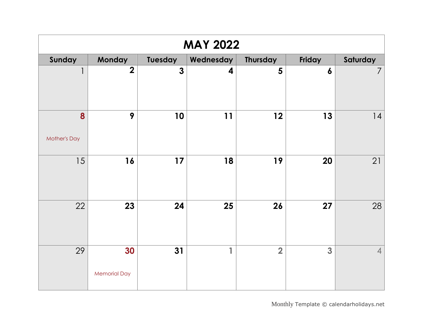| <b>MAY 2022</b>          |                           |                |                         |                         |                  |                |  |  |
|--------------------------|---------------------------|----------------|-------------------------|-------------------------|------------------|----------------|--|--|
| Sunday                   | <b>Monday</b>             | <b>Tuesday</b> | Wednesday               | <b>Thursday</b>         | Friday           | Saturday       |  |  |
| $\mathbf{1}$             | $\overline{2}$            | $\mathbf{3}$   | $\overline{\mathbf{4}}$ | 5                       | $\boldsymbol{6}$ | $\overline{7}$ |  |  |
| 8<br><b>Mother's Day</b> | 9                         | 10             | 11                      | 12                      | 13               | 4              |  |  |
| 15                       | 16                        | $17$           | 18                      | 19                      | 20               | 21             |  |  |
| 22                       | 23                        | 24             | 25                      | 26                      | 27               | 28             |  |  |
| 29                       | 30<br><b>Memorial Day</b> | 31             | $\blacksquare$          | $\overline{\mathbf{2}}$ | 3                | $\overline{4}$ |  |  |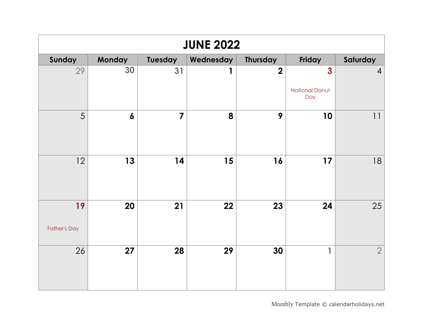| <b>JUNE 2022</b>          |                  |                         |           |                         |                                              |                |  |  |
|---------------------------|------------------|-------------------------|-----------|-------------------------|----------------------------------------------|----------------|--|--|
| Sunday                    | <b>Monday</b>    | Tuesday                 | Wednesday | <b>Thursday</b>         | Friday                                       | Saturday       |  |  |
| 29                        | 30               | 31                      | 1         | $\overline{\mathbf{2}}$ | $\mathbf{3}$<br><b>National Donut</b><br>Day | $\overline{4}$ |  |  |
| 5                         | $\boldsymbol{6}$ | $\overline{\mathbf{z}}$ | 8         | 9                       | 10                                           | 11             |  |  |
| 12                        | 13               | 14                      | 15        | 16                      | 17                                           | 18             |  |  |
| 19<br><b>Father's Day</b> | 20               | 21                      | 22        | 23                      | 24                                           | 25             |  |  |
| 26                        | 27               | 28                      | 29        | 30                      | 1                                            | $\overline{2}$ |  |  |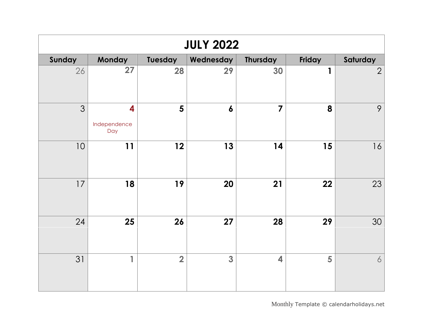| <b>JULY 2022</b> |                          |                |                  |                |        |                |  |  |
|------------------|--------------------------|----------------|------------------|----------------|--------|----------------|--|--|
| Sunday           | <b>Monday</b>            | Tuesday        | Wednesday        | Thursday       | Friday | Saturday       |  |  |
| 26               | 27                       | 28             | 29               | 30             | 1      | $\overline{2}$ |  |  |
| 3                | 4<br>Independence<br>Day | $5\phantom{1}$ | $\boldsymbol{6}$ | $\overline{7}$ | 8      | 9              |  |  |
| 10               | 11                       | 12             | 13               | 14             | 15     | 16             |  |  |
| 17               | 18                       | 19             | 20               | 21             | 22     | 23             |  |  |
| 24               | 25                       | 26             | 27               | 28             | 29     | 30             |  |  |
| 31               | $\overline{1}$           | $\overline{2}$ | 3                | 4              | 5      | 6              |  |  |

Monthly [Template](https://www.calendarlabs.com/2019-calendar-templates) © calendarholidays.net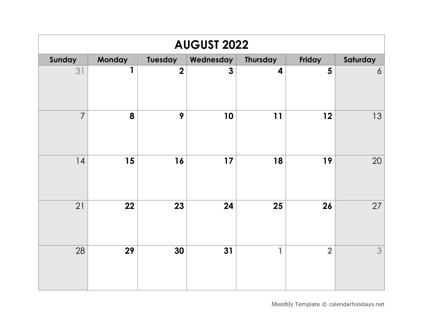| <b>AUGUST 2022</b> |        |                         |                |                 |                |                |  |  |
|--------------------|--------|-------------------------|----------------|-----------------|----------------|----------------|--|--|
| Sunday             | Monday | Tuesday                 | Wednesday      | <b>Thursday</b> | Friday         | Saturday       |  |  |
| 31                 | 1      | $\overline{\mathbf{2}}$ | $\overline{3}$ | 4               | $5\phantom{1}$ | $\overline{6}$ |  |  |
| $\overline{7}$     | 8      | 9                       | 10             | 11              | 12             | 13             |  |  |
| 4                  | 15     | 16                      | 17             | 18              | 19             | 20             |  |  |
| 21                 | 22     | 23                      | 24             | 25              | 26             | 27             |  |  |
| 28                 | 29     | 30                      | 31             | $\mathbf{1}$    | $\overline{2}$ | 3              |  |  |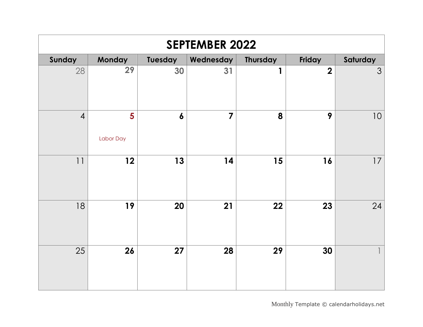| <b>SEPTEMBER 2022</b> |                |                  |           |                 |                  |          |  |  |
|-----------------------|----------------|------------------|-----------|-----------------|------------------|----------|--|--|
| Sunday                | <b>Monday</b>  | Tuesday          | Wednesday | <b>Thursday</b> | Friday           | Saturday |  |  |
| 28                    | 29             | 30               | 31        | 1               | $\boldsymbol{2}$ | 3        |  |  |
| $\overline{4}$        | 5<br>Labor Day | $\boldsymbol{6}$ | 7         | 8               | 9                | 10       |  |  |
| 11                    | 12             | 13               | 14        | 15              | 16               | 17       |  |  |
| 18                    | 19             | 20               | 21        | 22              | 23               | 24       |  |  |
| 25                    | 26             | 27               | 28        | 29              | 30               |          |  |  |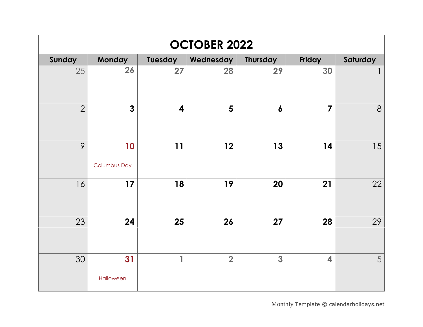| <b>OCTOBER 2022</b> |                           |         |                |                  |                         |          |  |  |
|---------------------|---------------------------|---------|----------------|------------------|-------------------------|----------|--|--|
| Sunday              | Monday                    | Tuesday | Wednesday      | Thursday         | Friday                  | Saturday |  |  |
| 25                  | 26                        | 27      | 28             | 29               | 30                      | 1        |  |  |
| $\overline{2}$      | $\mathbf{3}$              | 4       | 5              | $\boldsymbol{6}$ | $\overline{\mathbf{z}}$ | 8        |  |  |
| 9                   | 10<br><b>Columbus Day</b> | 11      | 12             | 13               | 14                      | 15       |  |  |
| 16                  | 17                        | 18      | 19             | 20               | 21                      | 22       |  |  |
| 23                  | 24                        | 25      | 26             | 27               | 28                      | 29       |  |  |
| 30                  | 31<br>Halloween           | 1       | $\overline{2}$ | 3                | $\overline{\mathbf{4}}$ | 5        |  |  |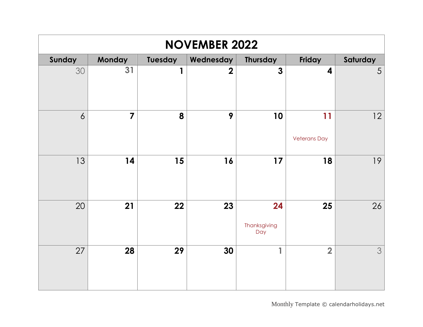| <b>NOVEMBER 2022</b> |                |                |                |                           |                           |          |  |  |  |
|----------------------|----------------|----------------|----------------|---------------------------|---------------------------|----------|--|--|--|
| Sunday               | Monday         | <b>Tuesday</b> | Wednesday      | <b>Thursday</b>           | Friday                    | Saturday |  |  |  |
| 30                   | 31             | $\mathbf{1}$   | $\overline{2}$ | $\overline{\mathbf{3}}$   | $\overline{\mathbf{4}}$   | 5        |  |  |  |
| $\overline{6}$       | $\overline{7}$ | 8              | 9              | 10                        | 11<br><b>Veterans Day</b> | 12       |  |  |  |
| 13                   | 14             | 15             | 16             | 17                        | 18                        | 19       |  |  |  |
| 20                   | 21             | 22             | 23             | 24<br>Thanksgiving<br>Day | 25                        | 26       |  |  |  |
| 27                   | 28             | 29             | 30             | 1                         | $\overline{2}$            | 3        |  |  |  |